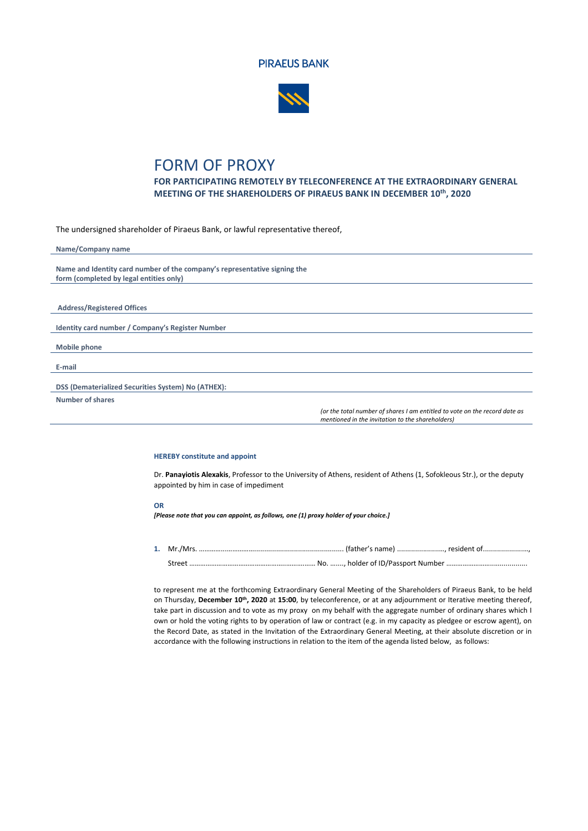



## FORM OF PROXY

**FOR PARTICIPATING REMOTELY BY TELECONFERENCE AT THE EXTRAORDINARY GENERAL MEETING OF THE SHAREHOLDERS OF PIRAEUS BANK IN DECEMBER 10 th, 2020**

The undersigned shareholder of Piraeus Bank, or lawful representative thereof,

| Name/Company name                                                         |                                                                            |
|---------------------------------------------------------------------------|----------------------------------------------------------------------------|
| Name and Identity card number of the company's representative signing the |                                                                            |
| form (completed by legal entities only)                                   |                                                                            |
|                                                                           |                                                                            |
| <b>Address/Registered Offices</b>                                         |                                                                            |
|                                                                           |                                                                            |
| Identity card number / Company's Register Number                          |                                                                            |
| <b>Mobile phone</b>                                                       |                                                                            |
| E-mail                                                                    |                                                                            |
|                                                                           |                                                                            |
| DSS (Dematerialized Securities System) No (ATHEX):                        |                                                                            |
| <b>Number of shares</b>                                                   |                                                                            |
|                                                                           | (or the total number of shares I am entitled to vote on the record date as |

## **HEREBY constitute and appoint**

Dr. **Panayiotis Alexakis**, Professor to the University of Athens, resident of Athens (1, Sofokleous Str.), or the deputy appointed by him in case of impediment

*mentioned in the invitation to the shareholders)*

## **OR**

*[Please note that you can appoint, as follows, one (1) proxy holder of your choice.]*

**1.** Mr./Mrs. …………...……………............................................. (father's name) .....................…, resident of....................…, Street ……………………………………………..……….…… No. …...., holder of ID/Passport Number ……………………..…..............

to represent me at the forthcoming Extraordinary General Meeting of the Shareholders of Piraeus Bank, to be held on Thursday, **December 10 th, 2020** at **15:00**, by teleconference, or at any adjournment or Iterative meeting thereof, take part in discussion and to vote as my proxy on my behalf with the aggregate number of ordinary shares which I own or hold the voting rights to by operation of law or contract (e.g. in my capacity as pledgee or escrow agent), on the Record Date, as stated in the Invitation of the Extraordinary General Meeting, at their absolute discretion or in accordance with the following instructions in relation to the item of the agenda listed below, as follows: